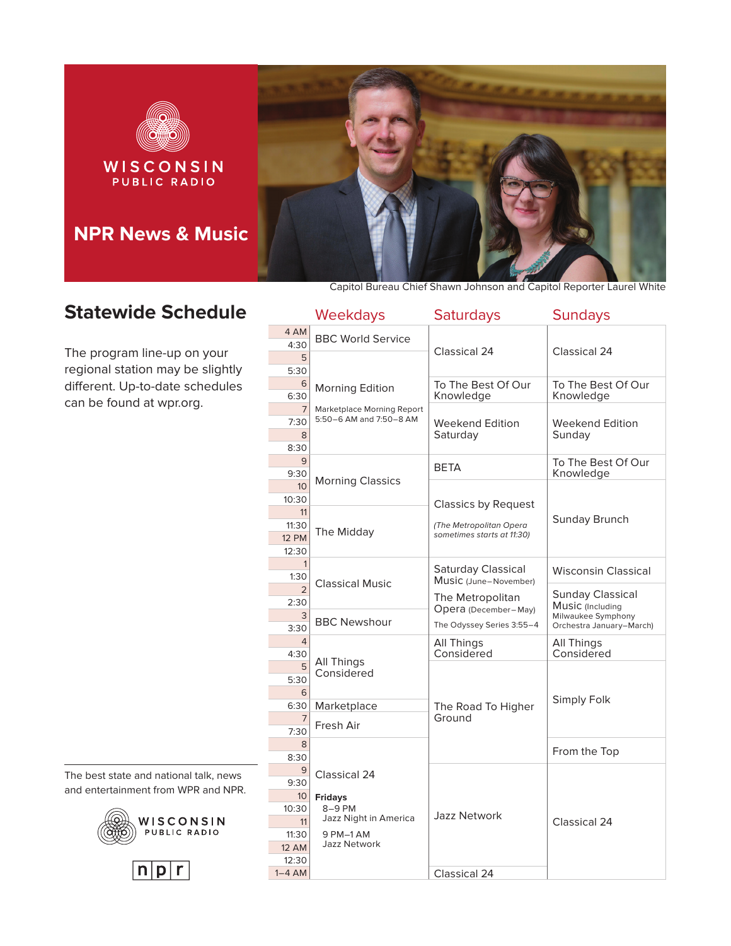

# **Statewide Schedule**

The program line-up on your regional station may be slightly different. Up-to-date schedules can be found at wpr.org.

|                          | Weekdays                         | <b>Saturdays</b>                | <b>Sundays</b>                              |
|--------------------------|----------------------------------|---------------------------------|---------------------------------------------|
| 4 AM                     | <b>BBC World Service</b>         |                                 |                                             |
| 4:30                     |                                  | Classical 24                    | Classical 24                                |
| 5                        |                                  |                                 |                                             |
| 5:30<br>6                |                                  |                                 |                                             |
| 6:30                     | <b>Morning Edition</b>           | To The Best Of Our<br>Knowledge | To The Best Of Our<br>Knowledge             |
| $\overline{7}$           | Marketplace Morning Report       |                                 |                                             |
| 7:30                     | 5:50-6 AM and 7:50-8 AM          | Weekend Edition                 | Weekend Edition                             |
| 8                        |                                  | Saturday                        | Sunday                                      |
| 8:30                     |                                  |                                 |                                             |
| 9                        |                                  | BETA                            | To The Best Of Our                          |
| 9:30<br>10 <sup>10</sup> | <b>Morning Classics</b>          |                                 | Knowledge                                   |
| 10:30                    |                                  |                                 |                                             |
| 11                       |                                  | <b>Classics by Request</b>      |                                             |
| 11:30                    | The Midday                       | (The Metropolitan Opera         | Sunday Brunch                               |
| <b>12 PM</b>             |                                  | sometimes starts at 11:30)      |                                             |
| 12:30                    |                                  |                                 |                                             |
| $\mathbf{1}$<br>1:30     |                                  | Saturday Classical              | <b>Wisconsin Classical</b>                  |
| $\overline{2}$           | <b>Classical Music</b>           | Music (June-November)           |                                             |
| 2:30                     |                                  | The Metropolitan                | <b>Sunday Classical</b><br>Music (Including |
| 3                        | <b>BBC Newshour</b>              | Opera (December-May)            | Milwaukee Symphony                          |
| 3:30                     |                                  | The Odyssey Series 3:55-4       | Orchestra January-March)                    |
| $\overline{4}$           |                                  | All Things                      | All Things                                  |
| 4:30<br>5                | All Things                       | Considered                      | Considered                                  |
| 5:30                     | Considered                       |                                 |                                             |
| 6                        |                                  |                                 |                                             |
| 6:30                     | Marketplace                      | The Road To Higher              | Simply Folk                                 |
| 7                        | Fresh Air                        | Ground                          |                                             |
| 7:30                     |                                  |                                 |                                             |
| 8                        |                                  |                                 | From the Top                                |
| 8:30<br>9                |                                  |                                 |                                             |
| 9:30                     | Classical 24                     |                                 |                                             |
| 10 <sup>°</sup>          | <b>Fridays</b>                   |                                 |                                             |
| 10:30                    | 8-9 PM                           | <b>Jazz Network</b>             |                                             |
| 11                       | Jazz Night in America            |                                 | Classical 24                                |
| 11:30                    | 9 PM-1 AM<br><b>Jazz Network</b> |                                 |                                             |
| <b>12 AM</b>             |                                  |                                 |                                             |
| 12:30<br>$1-4$ AM        |                                  | Classical 24                    |                                             |
|                          |                                  |                                 |                                             |

The best state and national talk, news and entertainment from WPR and NPR.



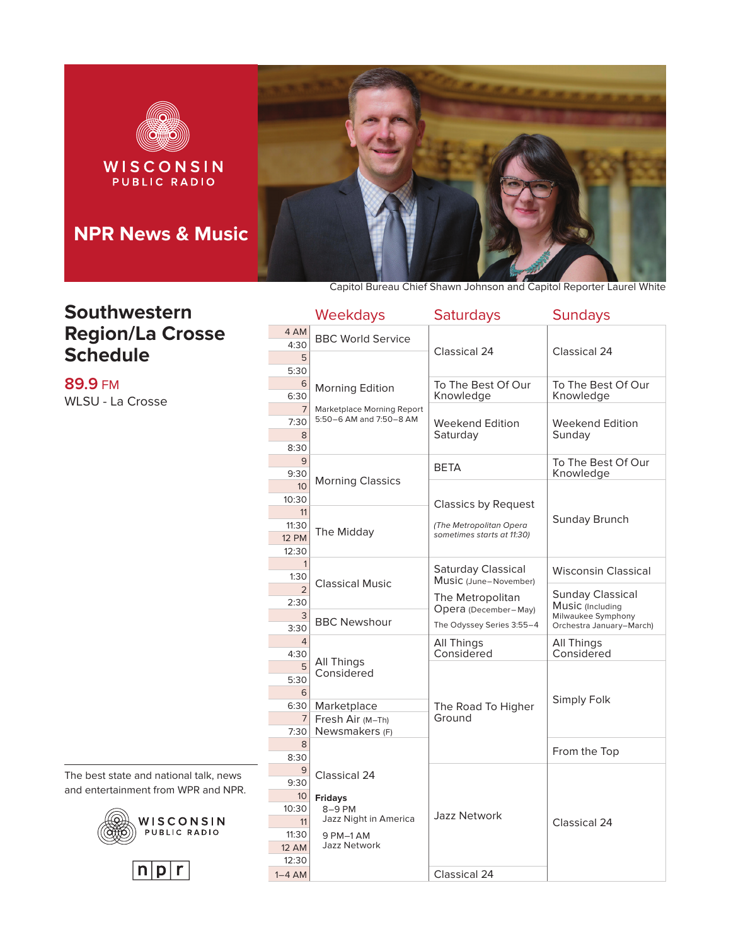

#### **Southwestern Region/La Crosse Schedule**

**89.9** FM WLSU - La Crosse

The best state and national talk, news and entertainment from WPR and NPR.





|                                      | <b>Weekdays</b>                                       | <b>Saturdays</b>                                                                        | <b>Sundays</b>                                 |
|--------------------------------------|-------------------------------------------------------|-----------------------------------------------------------------------------------------|------------------------------------------------|
| 4 AM<br>4:30                         | <b>BBC World Service</b>                              | Classical 24                                                                            | Classical 24                                   |
| 5<br>5:30                            |                                                       |                                                                                         |                                                |
| 6<br>6:30                            | <b>Morning Edition</b>                                | To The Best Of Our<br>Knowledge                                                         | To The Best Of Our<br>Knowledge                |
| 7<br>7:30                            | Marketplace Morning Report<br>5:50-6 AM and 7:50-8 AM | Weekend Edition                                                                         | Weekend Edition                                |
| 8<br>8:30                            |                                                       | Saturday                                                                                | Sunday                                         |
| 9<br>9:30                            |                                                       | <b>BETA</b>                                                                             | To The Best Of Our<br>Knowledge                |
| 10<br>10:30                          | <b>Morning Classics</b>                               | <b>Classics by Request</b>                                                              |                                                |
| 11<br>11:30<br><b>12 PM</b><br>12:30 | The Midday                                            | (The Metropolitan Opera<br>sometimes starts at 11:30)                                   | Sunday Brunch                                  |
| $\mathbf{1}$<br>1:30                 |                                                       | Saturday Classical<br>Music (June-November)<br>The Metropolitan<br>Opera (December-May) | <b>Wisconsin Classical</b>                     |
| $\mathfrak{D}$<br>2:30               | <b>Classical Music</b>                                |                                                                                         | <b>Sunday Classical</b><br>Music (Including    |
| 3<br>3:30                            | <b>BBC Newshour</b>                                   | The Odyssey Series 3:55-4                                                               | Milwaukee Symphony<br>Orchestra January-March) |
| 4<br>4:30                            |                                                       | All Things<br>Considered                                                                | All Things<br>Considered                       |
| 5<br>5:30<br>6                       | All Things<br>Considered                              |                                                                                         | Simply Folk                                    |
| 6:30<br>$\overline{7}$<br>7:30       | Marketplace<br>Fresh Air (M-Th)<br>Newsmakers (F)     | The Road To Higher<br>Ground                                                            |                                                |
| 8<br>8:30                            |                                                       |                                                                                         | From the Top                                   |
| 9<br>9:30                            | Classical 24                                          |                                                                                         |                                                |
| 10 <sup>°</sup><br>10:30<br>11       | <b>Fridays</b><br>8-9 PM<br>Jazz Night in America     | <b>Jazz Network</b>                                                                     | Classical 24                                   |
| 11:30<br><b>12 AM</b><br>12:30       | 9 PM-1 AM<br><b>Jazz Network</b>                      |                                                                                         |                                                |
| $1-4$ AM                             |                                                       | Classical 24                                                                            |                                                |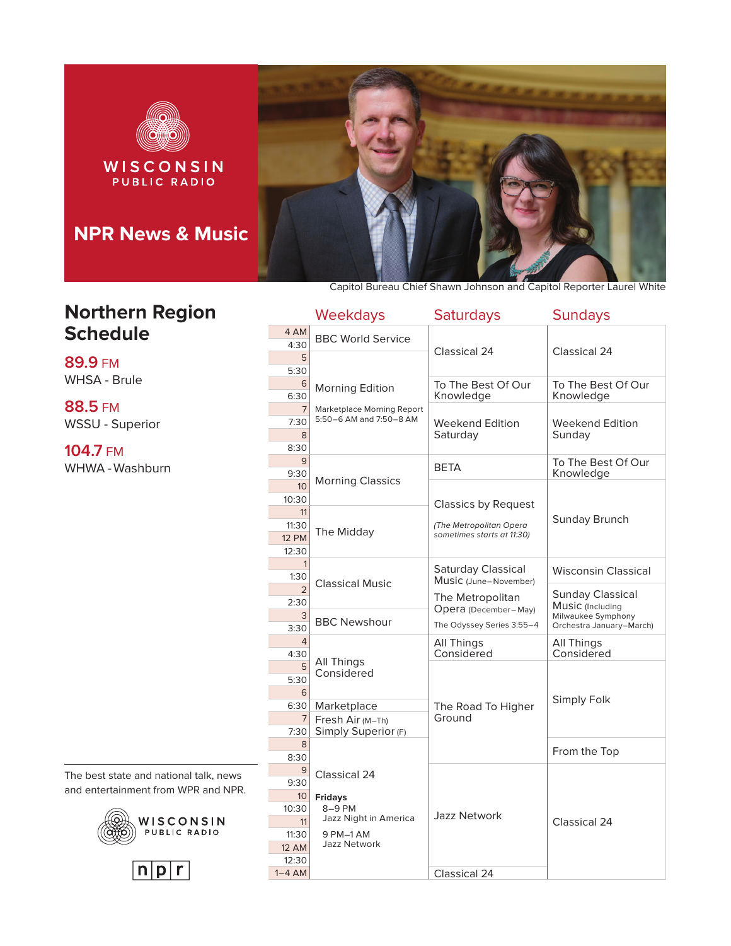

**Northern Region Schedule**

**89.9** FM WHSA - Brule

**88.5** FM WSSU - Superior

**104.7** FM WHWA - Washburn

The best state and national talk, news and entertainment from WPR and NPR.





|                                      | Weekdays                                              | <b>Saturdays</b>                                                                    | <b>Sundays</b>                                 |
|--------------------------------------|-------------------------------------------------------|-------------------------------------------------------------------------------------|------------------------------------------------|
| 4 AM<br>4:30                         | <b>BBC World Service</b>                              |                                                                                     |                                                |
| 5<br>5:30                            |                                                       | Classical 24                                                                        | Classical 24                                   |
| 6<br>6:30                            | <b>Morning Edition</b>                                | To The Best Of Our<br>Knowledge                                                     | To The Best Of Our<br>Knowledge                |
| $\overline{7}$<br>7:30               | Marketplace Morning Report<br>5:50-6 AM and 7:50-8 AM | Weekend Edition                                                                     | Weekend Edition                                |
| 8<br>8:30                            |                                                       | Saturday                                                                            | Sunday                                         |
| 9<br>9:30                            |                                                       | <b>BETA</b>                                                                         | To The Best Of Our<br>Knowledge                |
| 10 <sup>1</sup><br>10:30             | <b>Morning Classics</b>                               |                                                                                     |                                                |
| 11<br>11:30<br><b>12 PM</b><br>12:30 | The Midday                                            | <b>Classics by Request</b><br>(The Metropolitan Opera<br>sometimes starts at 11:30) | Sunday Brunch                                  |
| 1<br>1:30                            |                                                       | Saturday Classical<br>Music (June-November)                                         | <b>Wisconsin Classical</b>                     |
| $\overline{2}$<br>2:30               | <b>Classical Music</b>                                | The Metropolitan<br>Opera (December-May)                                            | <b>Sunday Classical</b><br>Music (Including    |
| 3<br>3:30                            | <b>BBC Newshour</b>                                   | The Odyssey Series 3:55-4                                                           | Milwaukee Symphony<br>Orchestra January-March) |
| $\overline{4}$<br>4:30               |                                                       | All Things<br>Considered                                                            | All Things<br>Considered                       |
| 5<br>5:30<br>6                       | All Things<br>Considered                              |                                                                                     |                                                |
| 6:30                                 | Marketplace                                           | The Road To Higher                                                                  | Simply Folk                                    |
| 7<br>7:30                            | Fresh Air (M-Th)<br>Simply Superior (F)               | Ground                                                                              |                                                |
| 8<br>8:30                            |                                                       |                                                                                     | From the Top                                   |
| 9<br>9:30                            | Classical 24                                          |                                                                                     |                                                |
| 10 <sup>°</sup><br>10:30<br>11       | <b>Fridays</b><br>8-9 PM<br>Jazz Night in America     | <b>Jazz Network</b>                                                                 | Classical 24                                   |
| 11:30<br><b>12 AM</b><br>12:30       | 9 PM-1 AM<br><b>Jazz Network</b>                      |                                                                                     |                                                |
| $1-4$ AM                             |                                                       | Classical 24                                                                        |                                                |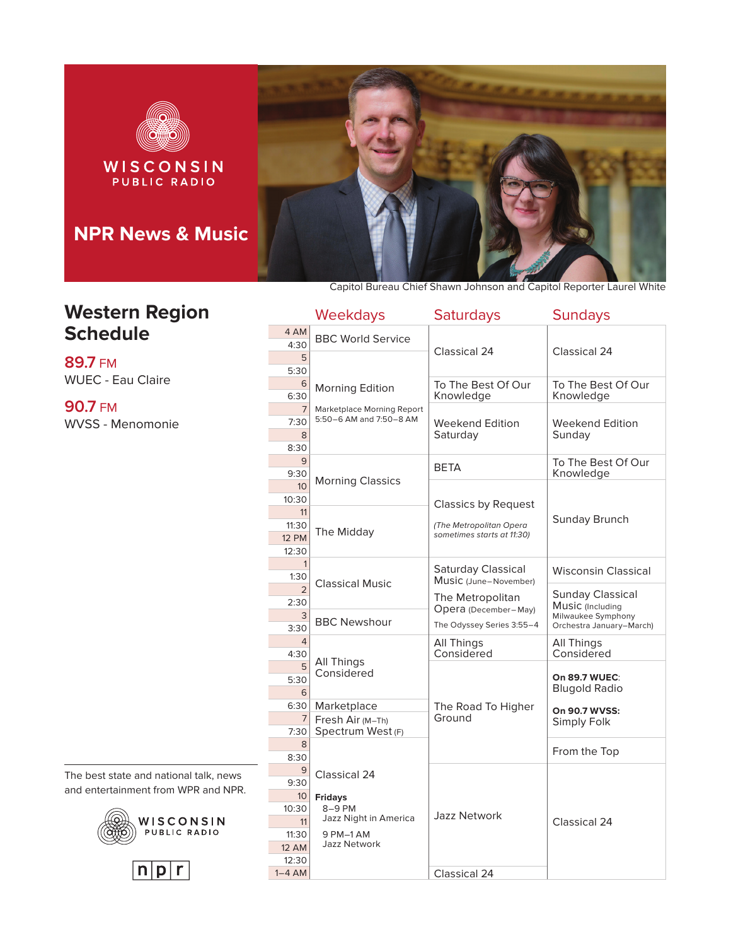

# **Western Region Schedule**

**89.7** FM WUEC - Eau Claire

**90.7** FM WVSS - Menomonie

The best state and national talk, news and entertainment from WPR and NPR.





|                             | <b>Weekdays</b>                                       | <b>Saturdays</b>                | <b>Sundays</b>                         |
|-----------------------------|-------------------------------------------------------|---------------------------------|----------------------------------------|
| 4 AM<br>4:30                | <b>BBC World Service</b>                              | Classical 24                    | Classical 24                           |
| 5<br>5:30                   |                                                       |                                 |                                        |
| 6<br>6:30                   | <b>Morning Edition</b>                                | To The Best Of Our<br>Knowledge | To The Best Of Our<br>Knowledge        |
| $\overline{7}$<br>7:30<br>8 | Marketplace Morning Report<br>5:50-6 AM and 7:50-8 AM | Weekend Edition<br>Saturdav     | Weekend Edition<br>Sundav              |
| 8:30                        |                                                       |                                 |                                        |
| 9                           |                                                       | BETA                            | To The Best Of Our                     |
| 9:30                        | <b>Morning Classics</b>                               |                                 | Knowledge                              |
| 10<br>10:30                 |                                                       |                                 |                                        |
| 11                          |                                                       | <b>Classics by Request</b>      |                                        |
| 11:30                       |                                                       | (The Metropolitan Opera         | Sunday Brunch                          |
| <b>12 PM</b>                | The Midday                                            | sometimes starts at 11:30)      |                                        |
| 12:30                       |                                                       |                                 |                                        |
| 1                           |                                                       | Saturday Classical              | <b>Wisconsin Classical</b>             |
| 1:30                        | <b>Classical Music</b>                                | Music (June-November)           |                                        |
| $\mathfrak{D}$<br>2:30      |                                                       | The Metropolitan                | <b>Sunday Classical</b>                |
| 3                           |                                                       | Opera (December-May)            | Music (Including<br>Milwaukee Symphony |
| 3:30                        | <b>BBC Newshour</b>                                   | The Odyssey Series 3:55-4       | Orchestra January-March)               |
| $\overline{4}$              |                                                       | All Things                      | All Things                             |
| 4:30                        |                                                       | Considered                      | Considered                             |
| 5                           | All Things<br>Considered                              |                                 |                                        |
| 5:30                        |                                                       |                                 | On 89.7 WUEC:<br><b>Blugold Radio</b>  |
| 6                           |                                                       |                                 |                                        |
| 6:30<br>$\overline{7}$      | Marketplace                                           | The Road To Higher<br>Ground    | On 90.7 WVSS:                          |
| 7:30                        | Fresh Air (M-Th)<br>Spectrum West (F)                 |                                 | Simply Folk                            |
| $\mathsf{R}$                |                                                       |                                 |                                        |
| 8:30                        |                                                       |                                 | From the Top                           |
| 9                           | Classical 24                                          |                                 |                                        |
| 9:30                        |                                                       |                                 |                                        |
| 10 <sup>°</sup>             | <b>Fridays</b>                                        |                                 |                                        |
| 10:30                       | 8-9 PM<br>Jazz Night in America                       | <b>Jazz Network</b>             |                                        |
| 11                          |                                                       |                                 | Classical 24                           |
| 11:30<br><b>12 AM</b>       | 9 PM-1 AM<br><b>Jazz Network</b>                      |                                 |                                        |
| 12:30                       |                                                       |                                 |                                        |
| $1-4$ AM                    |                                                       | Classical 24                    |                                        |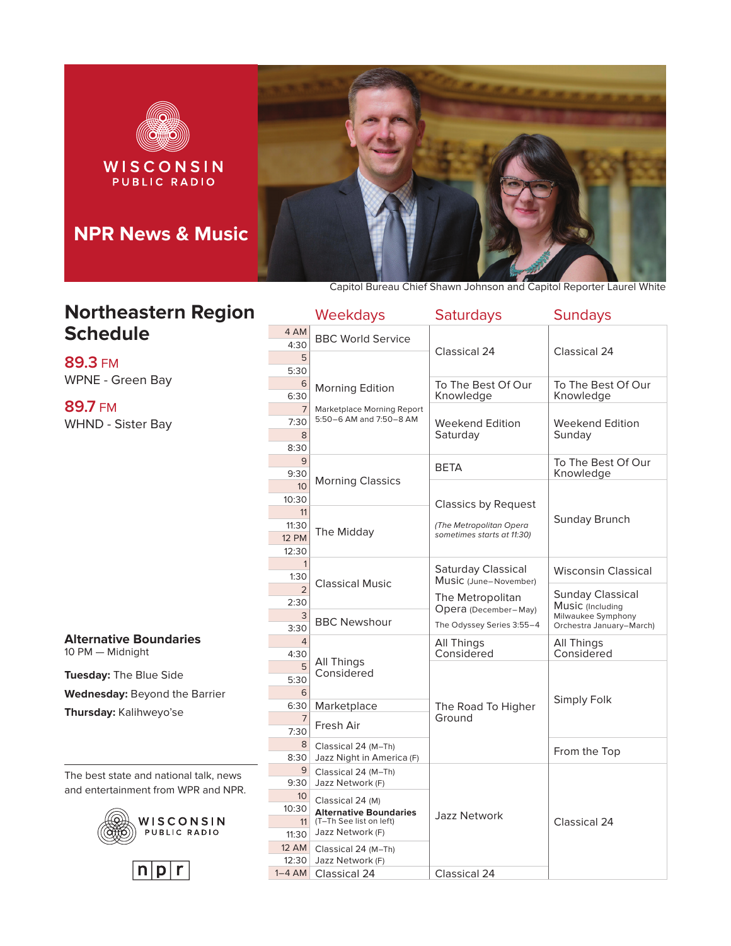

## **Northeastern Region Schedule**

**89.3** FM WPNE - Green Bay

**89.7** FM WHND - Sister Bay

**Alternative Boundaries** 10 PM — Midnight

**Tuesday:** The Blue Side **Wednesday:** Beyond the Barrier **Thursday:** Kalihweyo'se

The best state and national talk, news and entertainment from WPR and NPR.





|                                      | Weekdays                                                                                         | <b>Saturdays</b>                                      | <b>Sundays</b>                                             |
|--------------------------------------|--------------------------------------------------------------------------------------------------|-------------------------------------------------------|------------------------------------------------------------|
| 4 AM<br>4:30                         | <b>BBC World Service</b>                                                                         |                                                       |                                                            |
| 5<br>5:30                            |                                                                                                  | Classical 24                                          | Classical 24                                               |
| 6<br>6:30                            | Morning Edition                                                                                  | To The Best Of Our<br>Knowledge                       | To The Best Of Our<br>Knowledge                            |
| $\overline{7}$<br>7:30<br>8<br>8:30  | Marketplace Morning Report<br>5:50-6 AM and 7:50-8 AM                                            | Weekend Edition<br>Saturday                           | Weekend Edition<br>Sundav                                  |
| 9<br>9:30                            |                                                                                                  | BETA                                                  | To The Best Of Our<br>Knowledge                            |
| 10 <sup>10</sup><br>10:30            | <b>Morning Classics</b>                                                                          | <b>Classics by Request</b>                            |                                                            |
| 11<br>11:30<br><b>12 PM</b><br>12:30 | The Midday                                                                                       | (The Metropolitan Opera<br>sometimes starts at 11:30) | Sunday Brunch                                              |
| $\mathbf{1}$<br>1:30                 |                                                                                                  | Saturday Classical<br>Music (June-November)           | <b>Wisconsin Classical</b>                                 |
| $\overline{2}$<br>2:30<br>3          | <b>Classical Music</b>                                                                           | The Metropolitan<br>Opera (December-May)              | Sunday Classical<br>Music (Including<br>Milwaukee Symphony |
| 3:30                                 | <b>BBC Newshour</b>                                                                              | The Odyssey Series 3:55-4                             | Orchestra January-March)                                   |
| $\overline{4}$<br>4:30               | All Things                                                                                       | All Things<br>Considered                              | All Things<br>Considered                                   |
| 5<br>5:30<br>6                       | Considered                                                                                       |                                                       |                                                            |
| 6:30                                 | Marketplace                                                                                      | The Road To Higher<br>Ground                          | Simply Folk                                                |
| $\overline{7}$<br>7:30               | Fresh Air                                                                                        |                                                       |                                                            |
| 8<br>8:30                            | Classical 24 (M-Th)<br>Jazz Night in America (F)                                                 |                                                       | From the Top                                               |
| 9<br>9:30                            | Classical 24 (M-Th)<br>Jazz Network (F)                                                          |                                                       |                                                            |
| 10 <sup>°</sup><br>10:30<br>11       | Classical 24 (M)<br><b>Alternative Boundaries</b><br>(T-Th See list on left)<br>Jazz Network (F) | Jazz Network                                          | Classical 24                                               |
| 11:30<br><b>12 AM</b>                | Classical 24 (M-Th)                                                                              |                                                       |                                                            |
| 12:30                                | Jazz Network (F)                                                                                 |                                                       |                                                            |
| $1-4$ AM                             | Classical 24                                                                                     | Classical 24                                          |                                                            |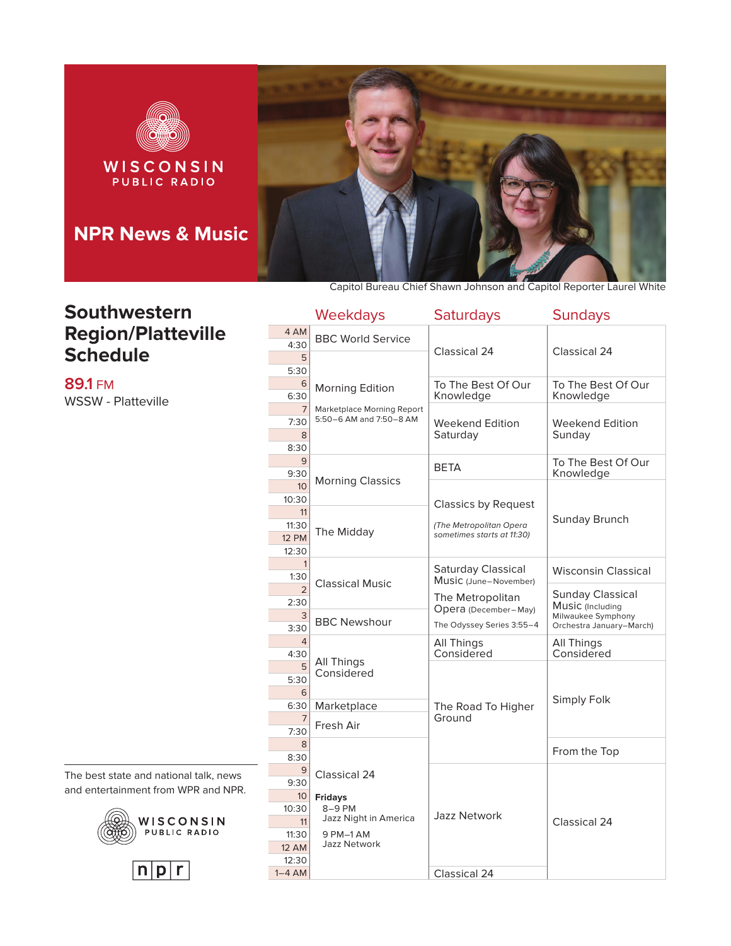

#### **Southwestern Region/Platteville Schedule**

**89.1** FM WSSW - Platteville

The best state and national talk, news and entertainment from WPR and NPR.





|                                      | <b>Weekdays</b>                                       | <b>Saturdays</b>                                                                    | <b>Sundays</b>                                 |
|--------------------------------------|-------------------------------------------------------|-------------------------------------------------------------------------------------|------------------------------------------------|
| 4 AM<br>4:30                         | <b>BBC World Service</b>                              |                                                                                     |                                                |
| 5<br>5:30                            |                                                       | Classical 24                                                                        | Classical 24                                   |
| 6<br>6:30                            | <b>Morning Edition</b>                                | To The Best Of Our<br>Knowledge                                                     | To The Best Of Our<br>Knowledge                |
| 7<br>7:30                            | Marketplace Morning Report<br>5:50-6 AM and 7:50-8 AM | Weekend Edition                                                                     | Weekend Edition                                |
| 8<br>8:30                            |                                                       | Saturday                                                                            | Sundav                                         |
| 9<br>9:30                            |                                                       | <b>BETA</b>                                                                         | To The Best Of Our<br>Knowledge                |
| 10 <sup>°</sup><br>10:30             | <b>Morning Classics</b>                               |                                                                                     |                                                |
| 11<br>11:30<br><b>12 PM</b><br>12:30 | The Midday                                            | <b>Classics by Request</b><br>(The Metropolitan Opera<br>sometimes starts at 11:30) | Sunday Brunch                                  |
| $\mathbf{1}$<br>1:30                 |                                                       | Saturday Classical<br>Music (June-November)                                         | <b>Wisconsin Classical</b>                     |
| $\mathfrak{D}$<br>2:30               | <b>Classical Music</b>                                | The Metropolitan<br>Opera (December-May)                                            | <b>Sunday Classical</b><br>Music (Including    |
| 3<br>3:30                            | <b>BBC Newshour</b>                                   | The Odyssey Series 3:55-4                                                           | Milwaukee Symphony<br>Orchestra January-March) |
| 4<br>4:30                            |                                                       | All Things<br>Considered                                                            | All Things<br>Considered                       |
| 5<br>5:30<br>6                       | All Things<br>Considered                              |                                                                                     |                                                |
| 6:30                                 | Marketplace                                           | The Road To Higher                                                                  | Simply Folk                                    |
| $\overline{7}$<br>7:30               | Fresh Air                                             | Ground                                                                              |                                                |
| 8<br>8:30                            |                                                       |                                                                                     | From the Top                                   |
| 9<br>9:30                            | Classical 24                                          |                                                                                     |                                                |
| 10 <sup>°</sup><br>10:30<br>11       | <b>Fridays</b><br>8-9 PM<br>Jazz Night in America     | <b>Jazz Network</b>                                                                 | Classical 24                                   |
| 11:30<br><b>12 AM</b><br>12:30       | 9 PM-1 AM<br><b>Jazz Network</b>                      |                                                                                     |                                                |
| $1-4$ AM                             |                                                       | Classical 24                                                                        |                                                |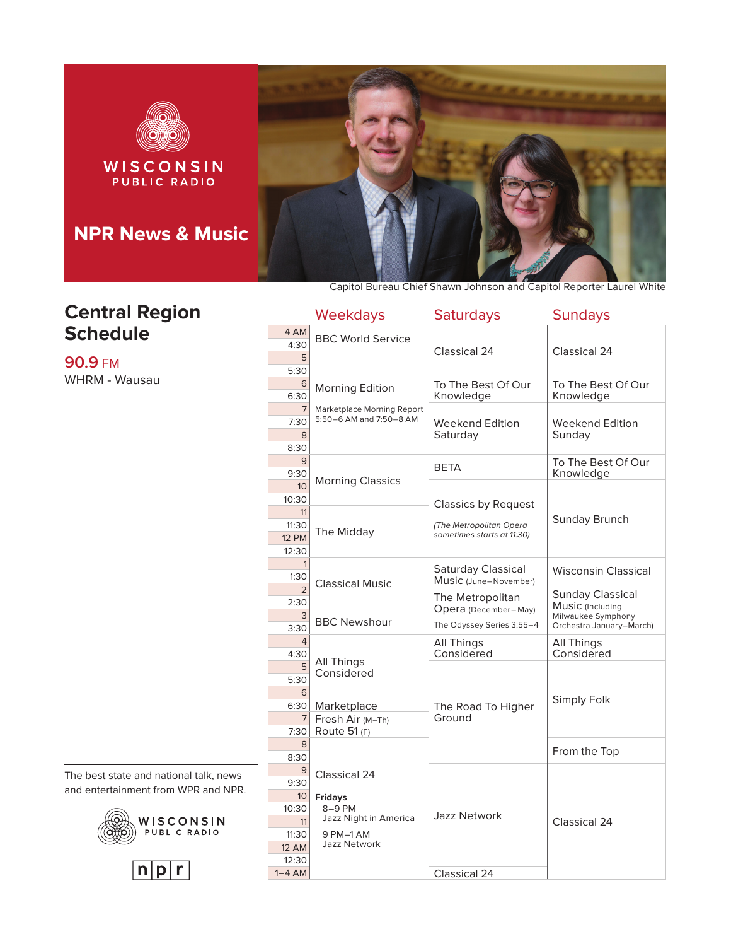

## **Central Region Schedule**

**90.9** FM WHRM - Wausau Capitol Bureau Chief Shawn Johnson and Capitol Reporter Laurel White

|                                | <b>Weekdays</b>                                       | <b>Saturdays</b>                                      | <b>Sundays</b>                                 |
|--------------------------------|-------------------------------------------------------|-------------------------------------------------------|------------------------------------------------|
| 4 AM<br>4:30                   | <b>BBC World Service</b>                              |                                                       |                                                |
| 5<br>5:30                      |                                                       | Classical 24                                          | Classical 24                                   |
| 6<br>6:30                      | <b>Morning Edition</b>                                | To The Best Of Our<br>Knowledge                       | To The Best Of Our<br>Knowledge                |
| $\overline{7}$<br>7:30         | Marketplace Morning Report<br>5:50-6 AM and 7:50-8 AM | Weekend Edition                                       | Weekend Edition                                |
| 8<br>8:30                      |                                                       | Saturday                                              | Sunday                                         |
| 9                              |                                                       | BETA                                                  | To The Best Of Our                             |
| 9:30<br>10                     | <b>Morning Classics</b>                               |                                                       | Knowledge                                      |
| 10:30<br>11                    |                                                       | <b>Classics by Request</b>                            | Sunday Brunch                                  |
| 11:30<br><b>12 PM</b><br>12:30 | The Midday                                            | (The Metropolitan Opera<br>sometimes starts at 11:30) |                                                |
| 1<br>1:30                      |                                                       | Saturday Classical<br>Music (June-November)           | <b>Wisconsin Classical</b>                     |
| $\mathfrak{D}$<br>2:30         | <b>Classical Music</b>                                | The Metropolitan                                      | <b>Sunday Classical</b><br>Music (Including    |
| 3<br>3:30                      | <b>BBC Newshour</b>                                   | Opera (December-May)<br>The Odyssey Series 3:55-4     | Milwaukee Symphony<br>Orchestra January-March) |
| $\overline{4}$<br>4:30         |                                                       | All Things<br>Considered                              | All Things<br>Considered                       |
| 5<br>5:30<br>6                 | All Things<br>Considered                              |                                                       |                                                |
| 6:30                           | Marketplace                                           | The Road To Higher                                    | Simply Folk                                    |
| $\overline{7}$<br>7:30         | Fresh Air (M-Th)<br>Route 51 (F)                      | Ground                                                |                                                |
| 8<br>8:30                      |                                                       |                                                       | From the Top                                   |
| 9<br>9:30                      | Classical 24                                          |                                                       |                                                |
| 10 <sup>°</sup><br>10:30<br>11 | <b>Fridays</b><br>8-9 PM<br>Jazz Night in America     | Jazz Network                                          | Classical 24                                   |
| 11:30<br><b>12 AM</b>          | 9 PM-1 AM<br><b>Jazz Network</b>                      |                                                       |                                                |
| 12:30<br>$1-4$ AM              |                                                       | Classical 24                                          |                                                |

The best state and national talk, news and entertainment from WPR and NPR.